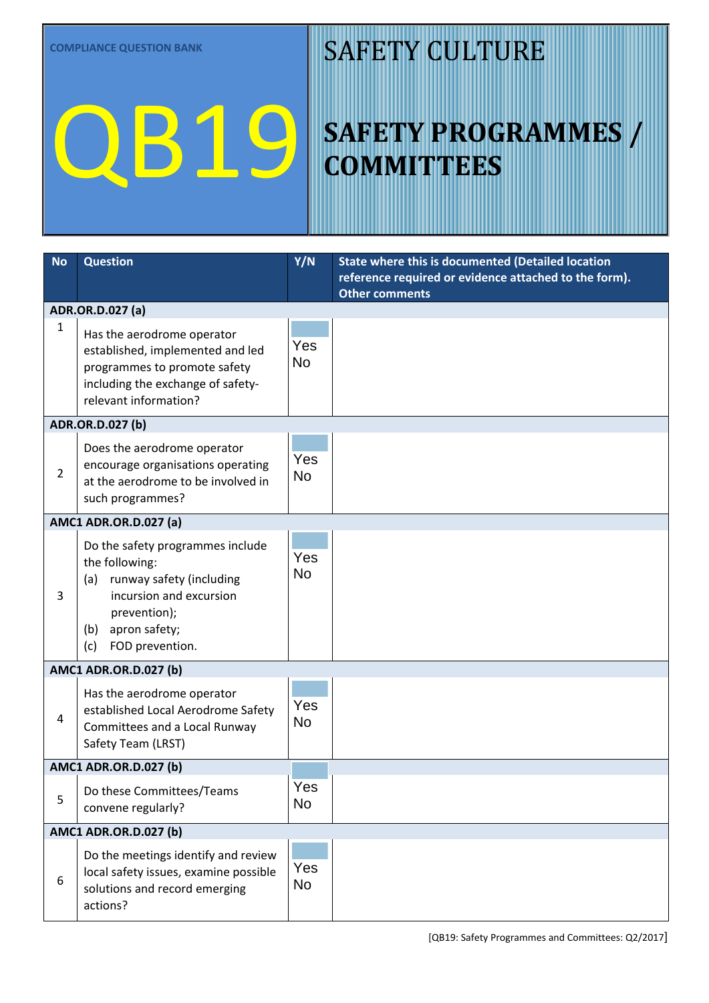# QB19

### SAFETY CULTURE

## **SAFETY PROGRAMMES / COMMITTEES**

| <b>No</b>                                 | <b>Question</b>                                                                                                                                                                    | Y/N              | State where this is documented (Detailed location     |  |  |
|-------------------------------------------|------------------------------------------------------------------------------------------------------------------------------------------------------------------------------------|------------------|-------------------------------------------------------|--|--|
|                                           |                                                                                                                                                                                    |                  | reference required or evidence attached to the form). |  |  |
| <b>Other comments</b><br>ADR.OR.D.027 (a) |                                                                                                                                                                                    |                  |                                                       |  |  |
| $\mathbf{1}$                              | Has the aerodrome operator<br>established, implemented and led<br>programmes to promote safety<br>including the exchange of safety-<br>relevant information?                       | Yes<br><b>No</b> |                                                       |  |  |
|                                           | ADR.OR.D.027 (b)                                                                                                                                                                   |                  |                                                       |  |  |
| $\overline{2}$                            | Does the aerodrome operator<br>encourage organisations operating<br>at the aerodrome to be involved in<br>such programmes?                                                         | Yes<br><b>No</b> |                                                       |  |  |
|                                           | <b>AMC1 ADR.OR.D.027 (a)</b>                                                                                                                                                       |                  |                                                       |  |  |
| 3                                         | Do the safety programmes include<br>the following:<br>runway safety (including<br>(a)<br>incursion and excursion<br>prevention);<br>apron safety;<br>(b)<br>FOD prevention.<br>(c) | Yes<br><b>No</b> |                                                       |  |  |
| <b>AMC1 ADR.OR.D.027 (b)</b>              |                                                                                                                                                                                    |                  |                                                       |  |  |
| $\overline{4}$                            | Has the aerodrome operator<br>established Local Aerodrome Safety<br>Committees and a Local Runway<br>Safety Team (LRST)                                                            | Yes<br><b>No</b> |                                                       |  |  |
|                                           | <b>AMC1 ADR.OR.D.027 (b)</b>                                                                                                                                                       |                  |                                                       |  |  |
| 5                                         | Do these Committees/Teams<br>convene regularly?                                                                                                                                    | Yes<br>No        |                                                       |  |  |
|                                           | <b>AMC1 ADR.OR.D.027 (b)</b>                                                                                                                                                       |                  |                                                       |  |  |
| 6                                         | Do the meetings identify and review<br>local safety issues, examine possible<br>solutions and record emerging<br>actions?                                                          | Yes<br>No        |                                                       |  |  |